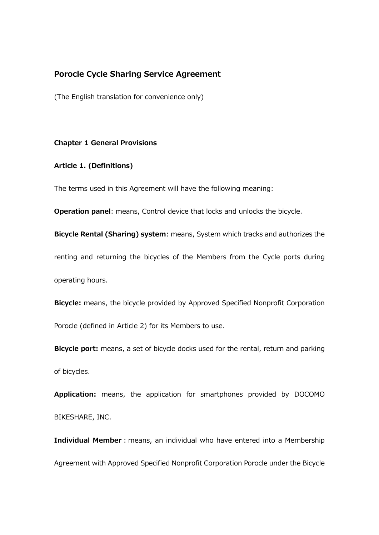# **Porocle Cycle Sharing Service Agreement**

(The English translation for convenience only)

## **Chapter 1 General Provisions**

## **Article 1. (Definitions)**

The terms used in this Agreement will have the following meaning:

**Operation panel**: means, Control device that locks and unlocks the bicycle.

**Bicycle Rental (Sharing) system**: means, System which tracks and authorizes the renting and returning the bicycles of the Members from the Cycle ports during operating hours.

**Bicycle:** means, the bicycle provided by Approved Specified Nonprofit Corporation Porocle (defined in Article 2) for its Members to use.

**Bicycle port:** means, a set of bicycle docks used for the rental, return and parking of bicycles.

**Application:** means, the application for smartphones provided by DOCOMO BIKESHARE, INC.

**Individual Member**: means, an individual who have entered into a Membership Agreement with Approved Specified Nonprofit Corporation Porocle under the Bicycle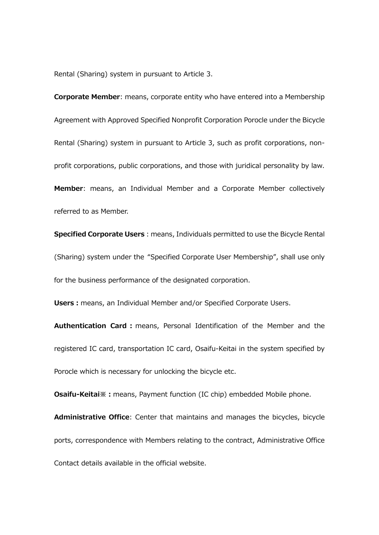Rental (Sharing) system in pursuant to Article 3.

**Corporate Member**: means, corporate entity who have entered into a Membership Agreement with Approved Specified Nonprofit Corporation Porocle under the Bicycle Rental (Sharing) system in pursuant to Article 3, such as profit corporations, nonprofit corporations, public corporations, and those with juridical personality by law. **Member**: means, an Individual Member and a Corporate Member collectively referred to as Member.

**Specified Corporate Users** : means, Individuals permitted to use the Bicycle Rental (Sharing) system under the "Specified Corporate User Membership", shall use only for the business performance of the designated corporation.

**Users:**means, an Individual Member and/or Specified Corporate Users.

**Authentication Card:**means, Personal Identification of the Member and the registered IC card, transportation IC card, Osaifu-Keitai in the system specified by Porocle which is necessary for unlocking the bicycle etc.

**Osaifu-Keitai※:**means, Payment function (IC chip) embedded Mobile phone.

**Administrative Office**: Center that maintains and manages the bicycles, bicycle ports, correspondence with Members relating to the contract, Administrative Office Contact details available in the official website.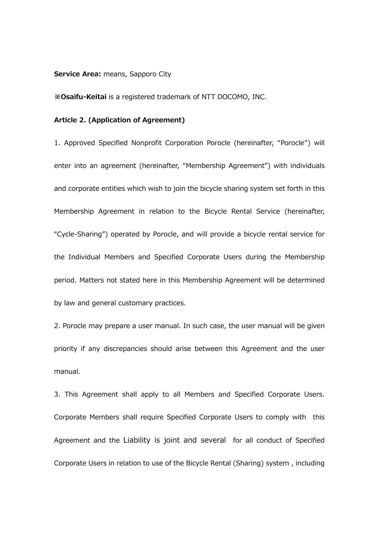## **Service Area:** means, Sapporo City

**※Osaifu-Keitai** is a registered trademark of NTT DOCOMO, INC.

## **Article 2. (Application of Agreement)**

1. Approved Specified Nonprofit Corporation Porocle (hereinafter, "Porocle") will enter into an agreement (hereinafter, "Membership Agreement") with individuals and corporate entities which wish to join the bicycle sharing system set forth in this Membership Agreement in relation to the Bicycle Rental Service (hereinafter, "Cycle-Sharing") operated by Porocle, and will provide a bicycle rental service for the Individual Members and Specified Corporate Users during the Membership period. Matters not stated here in this Membership Agreement will be determined by law and general customary practices.

2. Porocle may prepare a user manual. In such case, the user manual will be given priority if any discrepancies should arise between this Agreement and the user manual.

3. This Agreement shall apply to all Members and Specified Corporate Users. Corporate Members shall require Specified Corporate Users to comply with this Agreement and the Liability is joint and several for all conduct of Specified Corporate Users in relation to use of the Bicycle Rental (Sharing) system , including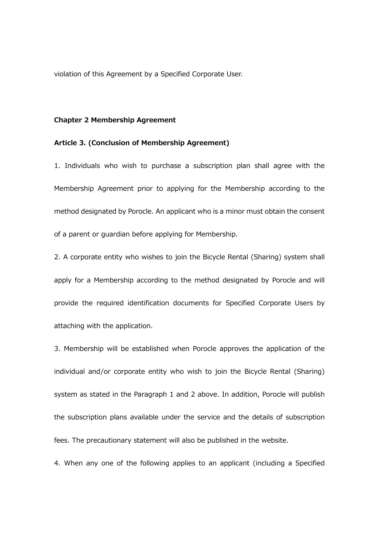violation of this Agreement by a Specified Corporate User.

#### **Chapter 2 Membership Agreement**

#### **Article 3. (Conclusion of Membership Agreement)**

1. Individuals who wish to purchase a subscription plan shall agree with the Membership Agreement prior to applying for the Membership according to the method designated by Porocle. An applicant who is a minor must obtain the consent of a parent or guardian before applying for Membership.

2. A corporate entity who wishes to join the Bicycle Rental (Sharing) system shall apply for a Membership according to the method designated by Porocle and will provide the required identification documents for Specified Corporate Users by attaching with the application.

3. Membership will be established when Porocle approves the application of the individual and/or corporate entity who wish to join the Bicycle Rental (Sharing) system as stated in the Paragraph 1 and 2 above. In addition, Porocle will publish the subscription plans available under the service and the details of subscription fees. The precautionary statement will also be published in the website.

4. When any one of the following applies to an applicant (including a Specified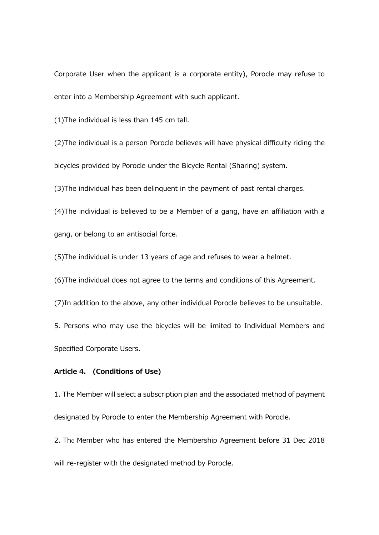Corporate User when the applicant is a corporate entity), Porocle may refuse to enter into a Membership Agreement with such applicant.

(1)The individual is less than 145 cm tall.

(2)The individual is a person Porocle believes will have physical difficulty riding the bicycles provided by Porocle under the Bicycle Rental (Sharing) system.

(3)The individual has been delinquent in the payment of past rental charges.

(4)The individual is believed to be a Member of a gang, have an affiliation with a gang, or belong to an antisocial force.

(5)The individual is under 13 years of age and refuses to wear a helmet.

(6)The individual does not agree to the terms and conditions of this Agreement.

(7)In addition to the above, any other individual Porocle believes to be unsuitable.

5. Persons who may use the bicycles will be limited to Individual Members and Specified Corporate Users.

## **Article 4. (Conditions of Use)**

1. The Member will select a subscription plan and the associated method of payment designated by Porocle to enter the Membership Agreement with Porocle.

2. The Member who has entered the Membership Agreement before 31 Dec 2018 will re-register with the designated method by Porocle.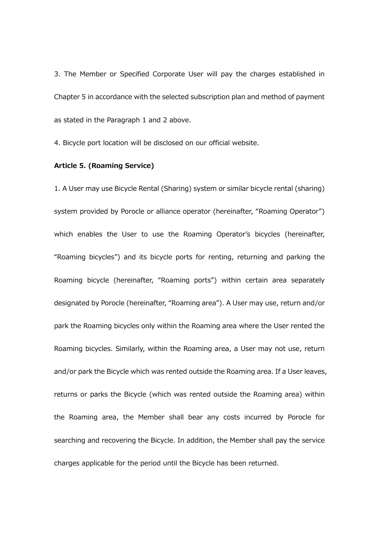3. The Member or Specified Corporate User will pay the charges established in Chapter 5 in accordance with the selected subscription plan and method of payment as stated in the Paragraph 1 and 2 above.

4. Bicycle port location will be disclosed on our official website.

## **Article 5. (Roaming Service)**

1. A User may use Bicycle Rental (Sharing) system or similar bicycle rental (sharing) system provided by Porocle or alliance operator (hereinafter, "Roaming Operator") which enables the User to use the Roaming Operator's bicycles (hereinafter, "Roaming bicycles") and its bicycle ports for renting, returning and parking the Roaming bicycle (hereinafter, "Roaming ports") within certain area separately designated by Porocle (hereinafter, "Roaming area"). A User may use, return and/or park the Roaming bicycles only within the Roaming area where the User rented the Roaming bicycles. Similarly, within the Roaming area, a User may not use, return and/or park the Bicycle which was rented outside the Roaming area. If a User leaves, returns or parks the Bicycle (which was rented outside the Roaming area) within the Roaming area, the Member shall bear any costs incurred by Porocle for searching and recovering the Bicycle. In addition, the Member shall pay the service charges applicable for the period until the Bicycle has been returned.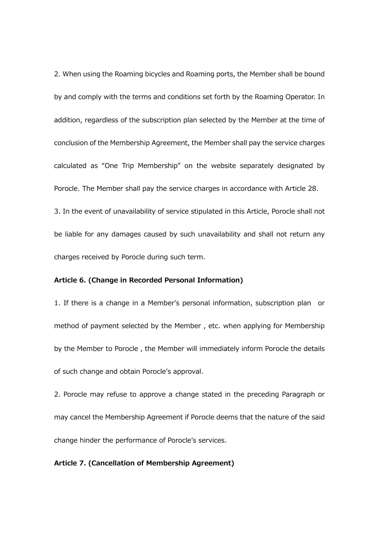2. When using the Roaming bicycles and Roaming ports, the Member shall be bound by and comply with the terms and conditions set forth by the Roaming Operator. In addition, regardless of the subscription plan selected by the Member at the time of conclusion of the Membership Agreement, the Member shall pay the service charges calculated as "One Trip Membership" on the website separately designated by Porocle. The Member shall pay the service charges in accordance with Article 28. 3. In the event of unavailability of service stipulated in this Article, Porocle shall not

be liable for any damages caused by such unavailability and shall not return any charges received by Porocle during such term.

#### **Article 6. (Change in Recorded Personal Information)**

1. If there is a change in a Member's personal information, subscription plan or method of payment selected by the Member , etc. when applying for Membership by the Member to Porocle , the Member will immediately inform Porocle the details of such change and obtain Porocle's approval.

2. Porocle may refuse to approve a change stated in the preceding Paragraph or may cancel the Membership Agreement if Porocle deems that the nature of the said change hinder the performance of Porocle's services.

## **Article 7. (Cancellation of Membership Agreement)**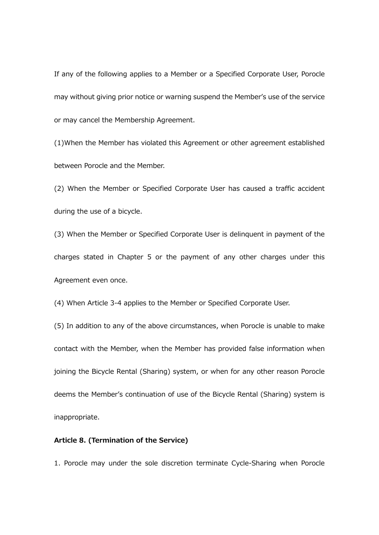If any of the following applies to a Member or a Specified Corporate User, Porocle may without giving prior notice or warning suspend the Member's use of the service or may cancel the Membership Agreement.

(1)When the Member has violated this Agreement or other agreement established between Porocle and the Member.

(2) When the Member or Specified Corporate User has caused a traffic accident during the use of a bicycle.

(3) When the Member or Specified Corporate User is delinquent in payment of the charges stated in Chapter 5 or the payment of any other charges under this Agreement even once.

(4) When Article 3-4 applies to the Member or Specified Corporate User.

(5) In addition to any of the above circumstances, when Porocle is unable to make contact with the Member, when the Member has provided false information when joining the Bicycle Rental (Sharing) system, or when for any other reason Porocle deems the Member's continuation of use of the Bicycle Rental (Sharing) system is inappropriate.

#### **Article 8. (Termination of the Service)**

1. Porocle may under the sole discretion terminate Cycle-Sharing when Porocle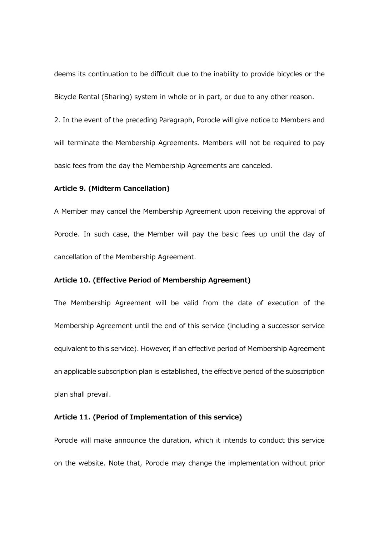deems its continuation to be difficult due to the inability to provide bicycles or the Bicycle Rental (Sharing) system in whole or in part, or due to any other reason.

2. In the event of the preceding Paragraph, Porocle will give notice to Members and will terminate the Membership Agreements. Members will not be required to pay basic fees from the day the Membership Agreements are canceled.

## **Article 9. (Midterm Cancellation)**

A Member may cancel the Membership Agreement upon receiving the approval of Porocle. In such case, the Member will pay the basic fees up until the day of cancellation of the Membership Agreement.

## **Article 10. (Effective Period of Membership Agreement)**

The Membership Agreement will be valid from the date of execution of the Membership Agreement until the end of this service (including a successor service equivalent to this service). However, if an effective period of Membership Agreement an applicable subscription plan is established, the effective period of the subscription plan shall prevail.

## **Article 11. (Period of Implementation of this service)**

Porocle will make announce the duration, which it intends to conduct this service on the website. Note that, Porocle may change the implementation without prior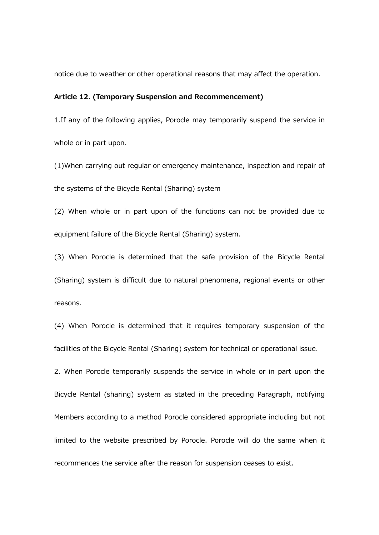notice due to weather or other operational reasons that may affect the operation.

#### **Article 12. (Temporary Suspension and Recommencement)**

1.If any of the following applies, Porocle may temporarily suspend the service in whole or in part upon.

(1)When carrying out regular or emergency maintenance, inspection and repair of the systems of the Bicycle Rental (Sharing) system

(2) When whole or in part upon of the functions can not be provided due to equipment failure of the Bicycle Rental (Sharing) system.

(3) When Porocle is determined that the safe provision of the Bicycle Rental (Sharing) system is difficult due to natural phenomena, regional events or other reasons.

(4) When Porocle is determined that it requires temporary suspension of the facilities of the Bicycle Rental (Sharing) system for technical or operational issue.

2. When Porocle temporarily suspends the service in whole or in part upon the Bicycle Rental (sharing) system as stated in the preceding Paragraph, notifying Members according to a method Porocle considered appropriate including but not limited to the website prescribed by Porocle. Porocle will do the same when it recommences the service after the reason for suspension ceases to exist.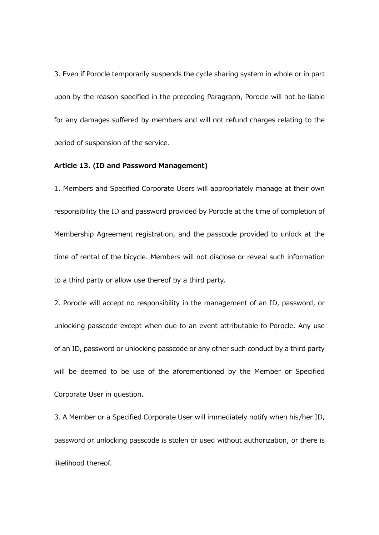3. Even if Porocle temporarily suspends the cycle sharing system in whole or in part upon by the reason specified in the preceding Paragraph, Porocle will not be liable for any damages suffered by members and will not refund charges relating to the period of suspension of the service.

## **Article 13. (ID and Password Management)**

1. Members and Specified Corporate Users will appropriately manage at their own responsibility the ID and password provided by Porocle at the time of completion of Membership Agreement registration, and the passcode provided to unlock at the time of rental of the bicycle. Members will not disclose or reveal such information to a third party or allow use thereof by a third party.

2. Porocle will accept no responsibility in the management of an ID, password, or unlocking passcode except when due to an event attributable to Porocle. Any use of an ID, password or unlocking passcode or any other such conduct by a third party will be deemed to be use of the aforementioned by the Member or Specified Corporate User in question.

3. A Member or a Specified Corporate User will immediately notify when his/her ID, password or unlocking passcode is stolen or used without authorization, or there is likelihood thereof.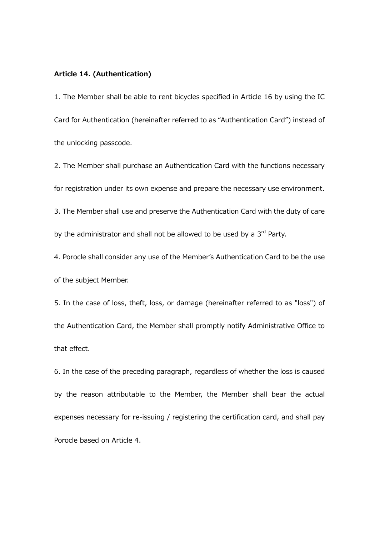## **Article 14. (Authentication)**

1. The Member shall be able to rent bicycles specified in Article 16 by using the IC Card for Authentication (hereinafter referred to as "Authentication Card") instead of the unlocking passcode.

2. The Member shall purchase an Authentication Card with the functions necessary for registration under its own expense and prepare the necessary use environment. 3. The Member shall use and preserve the Authentication Card with the duty of care by the administrator and shall not be allowed to be used by a 3<sup>rd</sup> Party.

4. Porocle shall consider any use of the Member's Authentication Card to be the use of the subject Member.

5. In the case of loss, theft, loss, or damage (hereinafter referred to as "loss") of the Authentication Card, the Member shall promptly notify Administrative Office to that effect.

6. In the case of the preceding paragraph, regardless of whether the loss is caused by the reason attributable to the Member, the Member shall bear the actual expenses necessary for re-issuing / registering the certification card, and shall pay Porocle based on Article 4.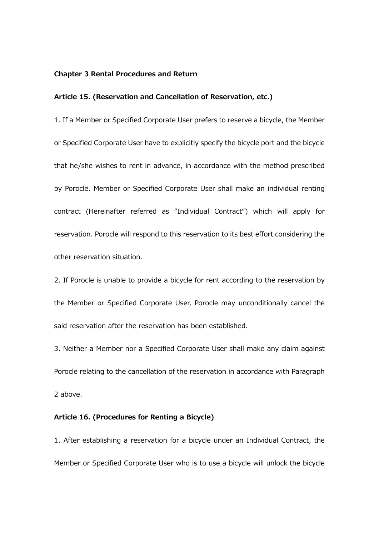## **Chapter 3 Rental Procedures and Return**

## **Article 15. (Reservation and Cancellation of Reservation, etc.)**

1. If a Member or Specified Corporate User prefers to reserve a bicycle, the Member or Specified Corporate User have to explicitly specify the bicycle port and the bicycle that he/she wishes to rent in advance, in accordance with the method prescribed by Porocle. Member or Specified Corporate User shall make an individual renting contract (Hereinafter referred as "Individual Contract") which will apply for reservation. Porocle will respond to this reservation to its best effort considering the other reservation situation.

2. If Porocle is unable to provide a bicycle for rent according to the reservation by the Member or Specified Corporate User, Porocle may unconditionally cancel the said reservation after the reservation has been established.

3. Neither a Member nor a Specified Corporate User shall make any claim against Porocle relating to the cancellation of the reservation in accordance with Paragraph 2 above.

## **Article 16. (Procedures for Renting a Bicycle)**

1. After establishing a reservation for a bicycle under an Individual Contract, the Member or Specified Corporate User who is to use a bicycle will unlock the bicycle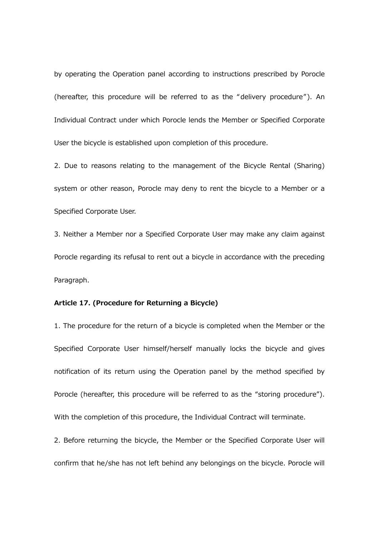by operating the Operation panel according to instructions prescribed by Porocle (hereafter, this procedure will be referred to as the "delivery procedure"). An Individual Contract under which Porocle lends the Member or Specified Corporate User the bicycle is established upon completion of this procedure.

2. Due to reasons relating to the management of the Bicycle Rental (Sharing) system or other reason, Porocle may deny to rent the bicycle to a Member or a Specified Corporate User.

3. Neither a Member nor a Specified Corporate User may make any claim against Porocle regarding its refusal to rent out a bicycle in accordance with the preceding Paragraph.

## **Article 17. (Procedure for Returning a Bicycle)**

1. The procedure for the return of a bicycle is completed when the Member or the Specified Corporate User himself/herself manually locks the bicycle and gives notification of its return using the Operation panel by the method specified by Porocle (hereafter, this procedure will be referred to as the "storing procedure"). With the completion of this procedure, the Individual Contract will terminate.

2. Before returning the bicycle, the Member or the Specified Corporate User will confirm that he/she has not left behind any belongings on the bicycle. Porocle will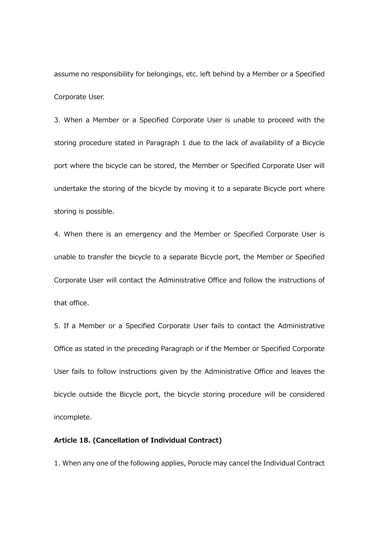assume no responsibility for belongings, etc. left behind by a Member or a Specified Corporate User.

3. When a Member or a Specified Corporate User is unable to proceed with the storing procedure stated in Paragraph 1 due to the lack of availability of a Bicycle port where the bicycle can be stored, the Member or Specified Corporate User will undertake the storing of the bicycle by moving it to a separate Bicycle port where storing is possible.

4. When there is an emergency and the Member or Specified Corporate User is unable to transfer the bicycle to a separate Bicycle port, the Member or Specified Corporate User will contact the Administrative Office and follow the instructions of that office.

5. If a Member or a Specified Corporate User fails to contact the Administrative Office as stated in the preceding Paragraph or if the Member or Specified Corporate User fails to follow instructions given by the Administrative Office and leaves the bicycle outside the Bicycle port, the bicycle storing procedure will be considered incomplete.

## **Article 18. (Cancellation of Individual Contract)**

1. When any one of the following applies, Porocle may cancel the Individual Contract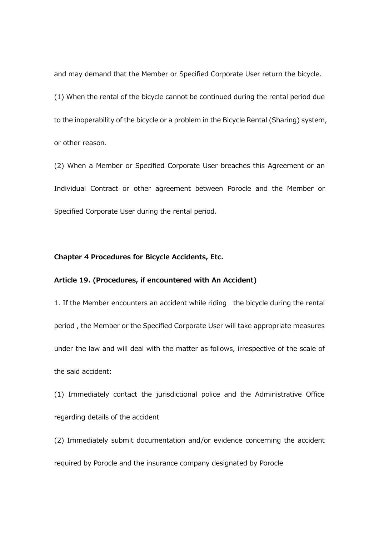and may demand that the Member or Specified Corporate User return the bicycle.

(1) When the rental of the bicycle cannot be continued during the rental period due to the inoperability of the bicycle or a problem in the Bicycle Rental (Sharing) system, or other reason.

(2) When a Member or Specified Corporate User breaches this Agreement or an Individual Contract or other agreement between Porocle and the Member or Specified Corporate User during the rental period.

## **Chapter 4 Procedures for Bicycle Accidents, Etc.**

## **Article 19. (Procedures, if encountered with An Accident)**

1. If the Member encounters an accident while riding the bicycle during the rental period , the Member or the Specified Corporate User will take appropriate measures under the law and will deal with the matter as follows, irrespective of the scale of the said accident:

(1) Immediately contact the jurisdictional police and the Administrative Office regarding details of the accident

(2) Immediately submit documentation and/or evidence concerning the accident required by Porocle and the insurance company designated by Porocle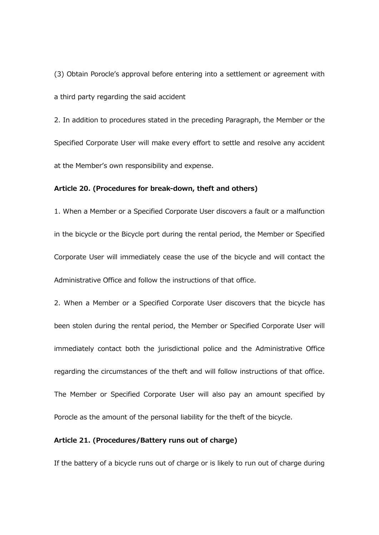(3) Obtain Porocle's approval before entering into a settlement or agreement with a third party regarding the said accident

2. In addition to procedures stated in the preceding Paragraph, the Member or the Specified Corporate User will make every effort to settle and resolve any accident at the Member's own responsibility and expense.

## **Article 20. (Procedures for break-down, theft and others)**

1. When a Member or a Specified Corporate User discovers a fault or a malfunction in the bicycle or the Bicycle port during the rental period, the Member or Specified Corporate User will immediately cease the use of the bicycle and will contact the Administrative Office and follow the instructions of that office.

2. When a Member or a Specified Corporate User discovers that the bicycle has been stolen during the rental period, the Member or Specified Corporate User will immediately contact both the jurisdictional police and the Administrative Office regarding the circumstances of the theft and will follow instructions of that office. The Member or Specified Corporate User will also pay an amount specified by Porocle as the amount of the personal liability for the theft of the bicycle.

### **Article 21. (Procedures/Battery runs out of charge)**

If the battery of a bicycle runs out of charge or is likely to run out of charge during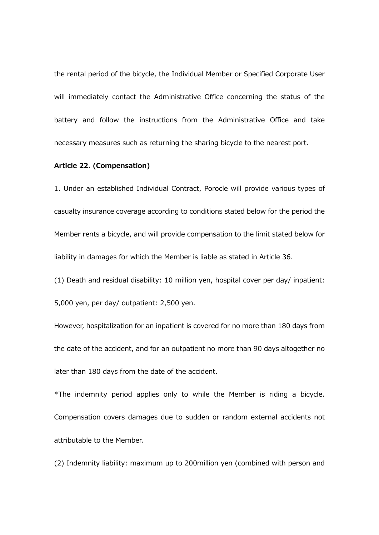the rental period of the bicycle, the Individual Member or Specified Corporate User will immediately contact the Administrative Office concerning the status of the battery and follow the instructions from the Administrative Office and take necessary measures such as returning the sharing bicycle to the nearest port.

#### **Article 22. (Compensation)**

1. Under an established Individual Contract, Porocle will provide various types of casualty insurance coverage according to conditions stated below for the period the Member rents a bicycle, and will provide compensation to the limit stated below for liability in damages for which the Member is liable as stated in Article 36.

(1) Death and residual disability: 10 million yen, hospital cover per day/ inpatient: 5,000 yen, per day/ outpatient: 2,500 yen.

However, hospitalization for an inpatient is covered for no more than 180 days from the date of the accident, and for an outpatient no more than 90 days altogether no later than 180 days from the date of the accident.

\*The indemnity period applies only to while the Member is riding a bicycle. Compensation covers damages due to sudden or random external accidents not attributable to the Member.

(2) Indemnity liability: maximum up to 200million yen (combined with person and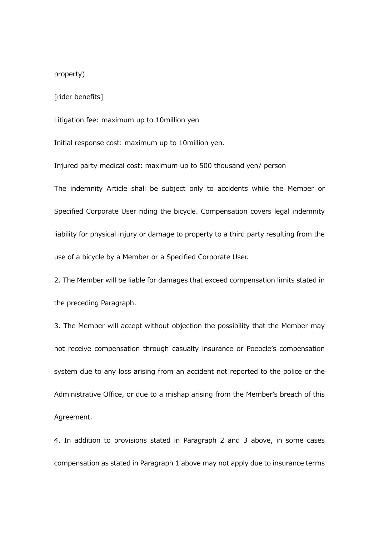## property)

[rider benefits]

Litigation fee: maximum up to 10million yen

Initial response cost: maximum up to 10million yen.

Injured party medical cost: maximum up to 500 thousand yen/ person

The indemnity Article shall be subject only to accidents while the Member or Specified Corporate User riding the bicycle. Compensation covers legal indemnity liability for physical injury or damage to property to a third party resulting from the use of a bicycle by a Member or a Specified Corporate User.

2. The Member will be liable for damages that exceed compensation limits stated in the preceding Paragraph.

3. The Member will accept without objection the possibility that the Member may not receive compensation through casualty insurance or Poeocle's compensation system due to any loss arising from an accident not reported to the police or the Administrative Office, or due to a mishap arising from the Member's breach of this Agreement.

4. In addition to provisions stated in Paragraph 2 and 3 above, in some cases compensation as stated in Paragraph 1 above may not apply due to insurance terms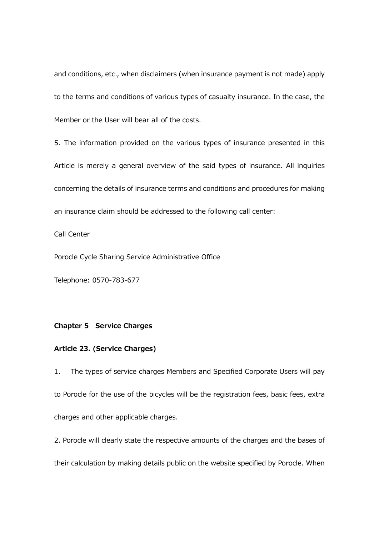and conditions, etc., when disclaimers (when insurance payment is not made) apply to the terms and conditions of various types of casualty insurance. In the case, the Member or the User will bear all of the costs.

5. The information provided on the various types of insurance presented in this Article is merely a general overview of the said types of insurance. All inquiries concerning the details of insurance terms and conditions and procedures for making an insurance claim should be addressed to the following call center:

Call Center

Porocle Cycle Sharing Service Administrative Office

Telephone: 0570-783-677

#### **Chapter 5 Service Charges**

## **Article 23. (Service Charges)**

1. The types of service charges Members and Specified Corporate Users will pay to Porocle for the use of the bicycles will be the registration fees, basic fees, extra charges and other applicable charges.

2. Porocle will clearly state the respective amounts of the charges and the bases of their calculation by making details public on the website specified by Porocle. When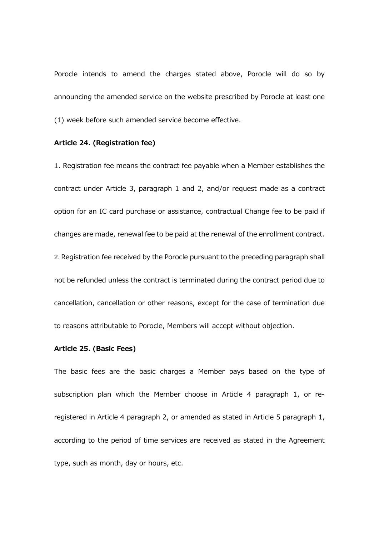Porocle intends to amend the charges stated above, Porocle will do so by announcing the amended service on the website prescribed by Porocle at least one (1) week before such amended service become effective.

## **Article 24. (Registration fee)**

1. Registration fee means the contract fee payable when a Member establishes the contract under Article 3, paragraph 1 and 2, and/or request made as a contract option for an IC card purchase or assistance, contractual Change fee to be paid if changes are made, renewal fee to be paid at the renewal of the enrollment contract. 2. Registration fee received by the Porocle pursuant to the preceding paragraph shall not be refunded unless the contract is terminated during the contract period due to cancellation, cancellation or other reasons, except for the case of termination due to reasons attributable to Porocle, Members will accept without objection.

## **Article 25. (Basic Fees)**

The basic fees are the basic charges a Member pays based on the type of subscription plan which the Member choose in Article 4 paragraph 1, or reregistered in Article 4 paragraph 2, or amended as stated in Article 5 paragraph 1, according to the period of time services are received as stated in the Agreement type, such as month, day or hours, etc.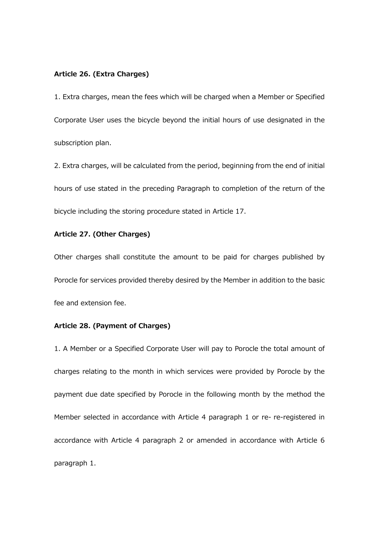## **Article 26. (Extra Charges)**

1. Extra charges, mean the fees which will be charged when a Member or Specified Corporate User uses the bicycle beyond the initial hours of use designated in the subscription plan.

2. Extra charges, will be calculated from the period, beginning from the end of initial hours of use stated in the preceding Paragraph to completion of the return of the bicycle including the storing procedure stated in Article 17.

## **Article 27. (Other Charges)**

Other charges shall constitute the amount to be paid for charges published by Porocle for services provided thereby desired by the Member in addition to the basic fee and extension fee.

## **Article 28. (Payment of Charges)**

1. A Member or a Specified Corporate User will pay to Porocle the total amount of charges relating to the month in which services were provided by Porocle by the payment due date specified by Porocle in the following month by the method the Member selected in accordance with Article 4 paragraph 1 or re- re-registered in accordance with Article 4 paragraph 2 or amended in accordance with Article 6 paragraph 1.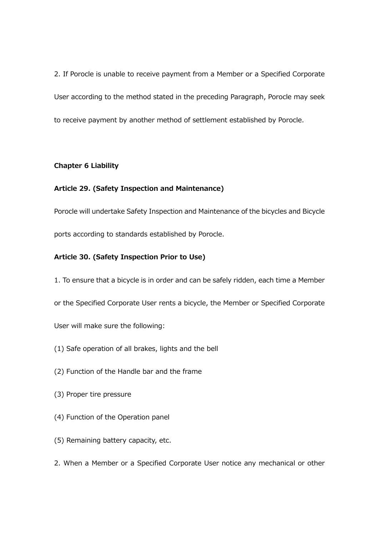2. If Porocle is unable to receive payment from a Member or a Specified Corporate User according to the method stated in the preceding Paragraph, Porocle may seek to receive payment by another method of settlement established by Porocle.

## **Chapter 6 Liability**

## **Article 29. (Safety Inspection and Maintenance)**

Porocle will undertake Safety Inspection and Maintenance of the bicycles and Bicycle ports according to standards established by Porocle.

## **Article 30. (Safety Inspection Prior to Use)**

- 1. To ensure that a bicycle is in order and can be safely ridden, each time a Member or the Specified Corporate User rents a bicycle, the Member or Specified Corporate User will make sure the following:
- (1) Safe operation of all brakes, lights and the bell
- (2) Function of the Handle bar and the frame
- (3) Proper tire pressure
- (4) Function of the Operation panel
- (5) Remaining battery capacity, etc.
- 2. When a Member or a Specified Corporate User notice any mechanical or other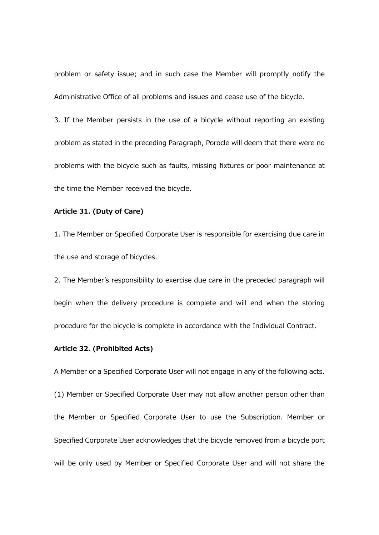problem or safety issue; and in such case the Member will promptly notify the Administrative Office of all problems and issues and cease use of the bicycle.

3. If the Member persists in the use of a bicycle without reporting an existing problem as stated in the preceding Paragraph, Porocle will deem that there were no problems with the bicycle such as faults, missing fixtures or poor maintenance at the time the Member received the bicycle.

## **Article 31. (Duty of Care)**

1. The Member or Specified Corporate User is responsible for exercising due care in the use and storage of bicycles.

2. The Member's responsibility to exercise due care in the preceded paragraph will begin when the delivery procedure is complete and will end when the storing procedure for the bicycle is complete in accordance with the Individual Contract.

## **Article 32. (Prohibited Acts)**

A Member or a Specified Corporate User will not engage in any of the following acts. (1) Member or Specified Corporate User may not allow another person other than the Member or Specified Corporate User to use the Subscription. Member or Specified Corporate User acknowledges that the bicycle removed from a bicycle port will be only used by Member or Specified Corporate User and will not share the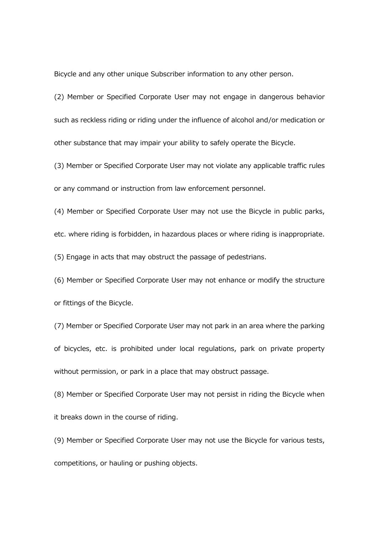Bicycle and any other unique Subscriber information to any other person.

(2) Member or Specified Corporate User may not engage in dangerous behavior such as reckless riding or riding under the influence of alcohol and/or medication or other substance that may impair your ability to safely operate the Bicycle.

(3) Member or Specified Corporate User may not violate any applicable traffic rules or any command or instruction from law enforcement personnel.

(4) Member or Specified Corporate User may not use the Bicycle in public parks, etc. where riding is forbidden, in hazardous places or where riding is inappropriate.

(5) Engage in acts that may obstruct the passage of pedestrians.

(6) Member or Specified Corporate User may not enhance or modify the structure or fittings of the Bicycle.

(7) Member or Specified Corporate User may not park in an area where the parking of bicycles, etc. is prohibited under local regulations, park on private property without permission, or park in a place that may obstruct passage.

(8) Member or Specified Corporate User may not persist in riding the Bicycle when it breaks down in the course of riding.

(9) Member or Specified Corporate User may not use the Bicycle for various tests, competitions, or hauling or pushing objects.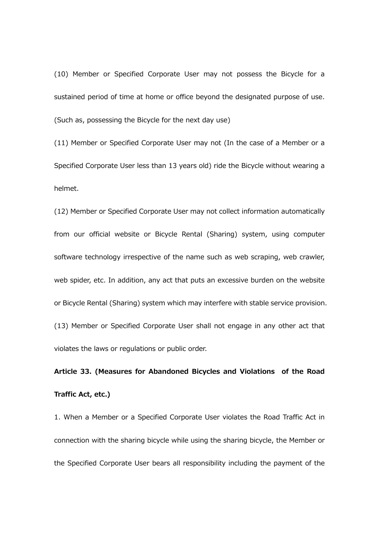(10) Member or Specified Corporate User may not possess the Bicycle for a sustained period of time at home or office beyond the designated purpose of use. (Such as, possessing the Bicycle for the next day use)

(11) Member or Specified Corporate User may not (In the case of a Member or a Specified Corporate User less than 13 years old) ride the Bicycle without wearing a helmet.

(12) Member or Specified Corporate User may not collect information automatically from our official website or Bicycle Rental (Sharing) system, using computer software technology irrespective of the name such as web scraping, web crawler, web spider, etc. In addition, any act that puts an excessive burden on the website or Bicycle Rental (Sharing) system which may interfere with stable service provision. (13) Member or Specified Corporate User shall not engage in any other act that violates the laws or regulations or public order.

**Article 33. (Measures for Abandoned Bicycles and Violations of the Road Traffic Act, etc.)**

1. When a Member or a Specified Corporate User violates the Road Traffic Act in connection with the sharing bicycle while using the sharing bicycle, the Member or the Specified Corporate User bears all responsibility including the payment of the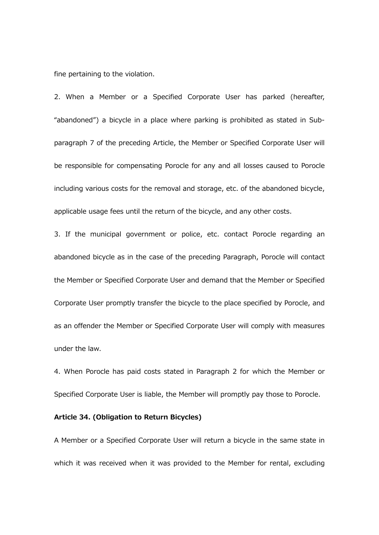fine pertaining to the violation.

2. When a Member or a Specified Corporate User has parked (hereafter, "abandoned") a bicycle in a place where parking is prohibited as stated in Subparagraph 7 of the preceding Article, the Member or Specified Corporate User will be responsible for compensating Porocle for any and all losses caused to Porocle including various costs for the removal and storage, etc. of the abandoned bicycle, applicable usage fees until the return of the bicycle, and any other costs.

3. If the municipal government or police, etc. contact Porocle regarding an abandoned bicycle as in the case of the preceding Paragraph, Porocle will contact the Member or Specified Corporate User and demand that the Member or Specified Corporate User promptly transfer the bicycle to the place specified by Porocle, and as an offender the Member or Specified Corporate User will comply with measures under the law.

4. When Porocle has paid costs stated in Paragraph 2 for which the Member or Specified Corporate User is liable, the Member will promptly pay those to Porocle.

## **Article 34. (Obligation to Return Bicycles)**

A Member or a Specified Corporate User will return a bicycle in the same state in which it was received when it was provided to the Member for rental, excluding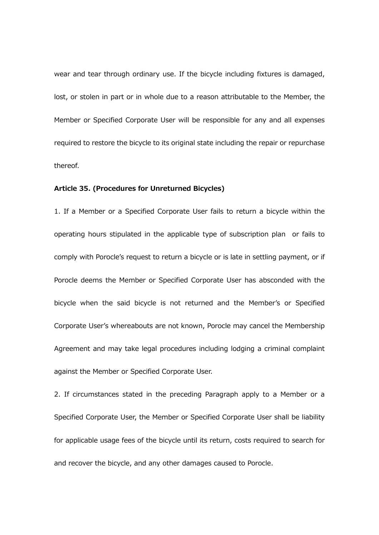wear and tear through ordinary use. If the bicycle including fixtures is damaged, lost, or stolen in part or in whole due to a reason attributable to the Member, the Member or Specified Corporate User will be responsible for any and all expenses required to restore the bicycle to its original state including the repair or repurchase thereof.

#### **Article 35. (Procedures for Unreturned Bicycles)**

1. If a Member or a Specified Corporate User fails to return a bicycle within the operating hours stipulated in the applicable type of subscription plan or fails to comply with Porocle's request to return a bicycle or is late in settling payment, or if Porocle deems the Member or Specified Corporate User has absconded with the bicycle when the said bicycle is not returned and the Member's or Specified Corporate User's whereabouts are not known, Porocle may cancel the Membership Agreement and may take legal procedures including lodging a criminal complaint against the Member or Specified Corporate User.

2. If circumstances stated in the preceding Paragraph apply to a Member or a Specified Corporate User, the Member or Specified Corporate User shall be liability for applicable usage fees of the bicycle until its return, costs required to search for and recover the bicycle, and any other damages caused to Porocle.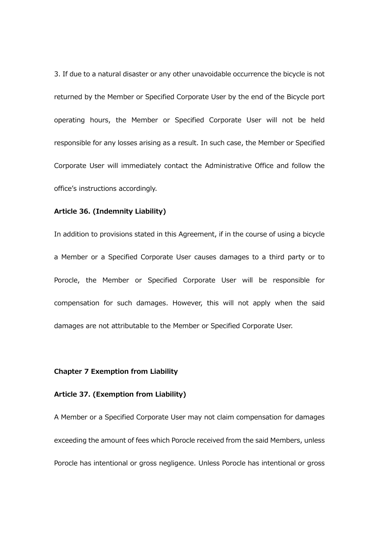3. If due to a natural disaster or any other unavoidable occurrence the bicycle is not returned by the Member or Specified Corporate User by the end of the Bicycle port operating hours, the Member or Specified Corporate User will not be held responsible for any losses arising as a result. In such case, the Member or Specified Corporate User will immediately contact the Administrative Office and follow the office's instructions accordingly.

## **Article 36. (Indemnity Liability)**

In addition to provisions stated in this Agreement, if in the course of using a bicycle a Member or a Specified Corporate User causes damages to a third party or to Porocle, the Member or Specified Corporate User will be responsible for compensation for such damages. However, this will not apply when the said damages are not attributable to the Member or Specified Corporate User.

## **Chapter 7 Exemption from Liability**

#### **Article 37. (Exemption from Liability)**

A Member or a Specified Corporate User may not claim compensation for damages exceeding the amount of fees which Porocle received from the said Members, unless Porocle has intentional or gross negligence. Unless Porocle has intentional or gross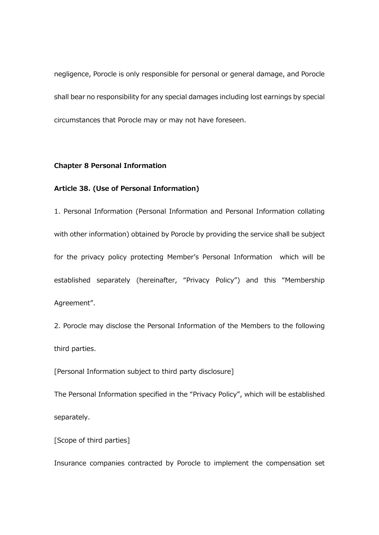negligence, Porocle is only responsible for personal or general damage, and Porocle shall bear no responsibility for any special damages including lost earnings by special circumstances that Porocle may or may not have foreseen.

## **Chapter 8 Personal Information**

## **Article 38. (Use of Personal Information)**

1. Personal Information (Personal Information and Personal Information collating with other information) obtained by Porocle by providing the service shall be subject for the privacy policy protecting Member's Personal Information which will be established separately (hereinafter, "Privacy Policy") and this "Membership Agreement".

2. Porocle may disclose the Personal Information of the Members to the following third parties.

[Personal Information subject to third party disclosure]

The Personal Information specified in the "Privacy Policy", which will be established separately.

[Scope of third parties]

Insurance companies contracted by Porocle to implement the compensation set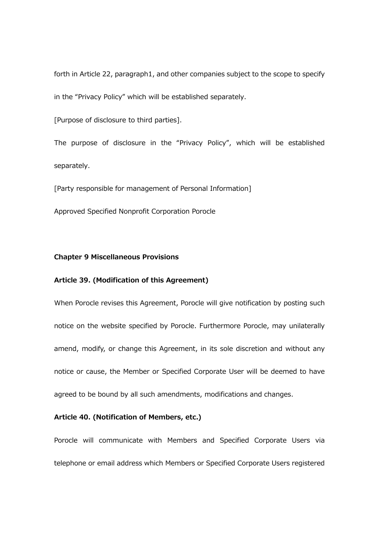forth in Article 22, paragraph1, and other companies subject to the scope to specify in the "Privacy Policy" which will be established separately.

[Purpose of disclosure to third parties].

The purpose of disclosure in the "Privacy Policy", which will be established separately.

[Party responsible for management of Personal Information]

Approved Specified Nonprofit Corporation Porocle

## **Chapter 9 Miscellaneous Provisions**

## **Article 39. (Modification of this Agreement)**

When Porocle revises this Agreement, Porocle will give notification by posting such notice on the website specified by Porocle. Furthermore Porocle, may unilaterally amend, modify, or change this Agreement, in its sole discretion and without any notice or cause, the Member or Specified Corporate User will be deemed to have agreed to be bound by all such amendments, modifications and changes.

## **Article 40. (Notification of Members, etc.)**

Porocle will communicate with Members and Specified Corporate Users via telephone or email address which Members or Specified Corporate Users registered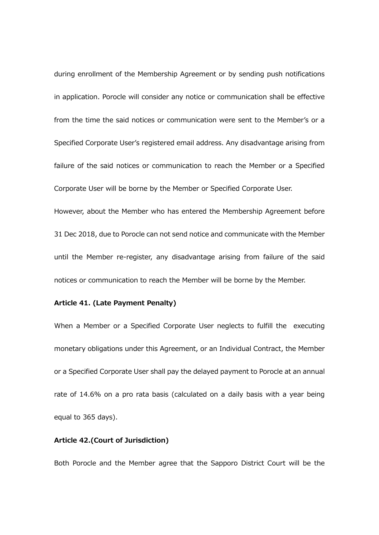during enrollment of the Membership Agreement or by sending push notifications in application. Porocle will consider any notice or communication shall be effective from the time the said notices or communication were sent to the Member's or a Specified Corporate User's registered email address. Any disadvantage arising from failure of the said notices or communication to reach the Member or a Specified Corporate User will be borne by the Member or Specified Corporate User. However, about the Member who has entered the Membership Agreement before

until the Member re-register, any disadvantage arising from failure of the said notices or communication to reach the Member will be borne by the Member.

31 Dec 2018, due to Porocle can not send notice and communicate with the Member

### **Article 41. (Late Payment Penalty)**

When a Member or a Specified Corporate User neglects to fulfill the executing monetary obligations under this Agreement, or an Individual Contract, the Member or a Specified Corporate User shall pay the delayed payment to Porocle at an annual rate of 14.6% on a pro rata basis (calculated on a daily basis with a year being equal to 365 days).

## **Article 42.(Court of Jurisdiction)**

Both Porocle and the Member agree that the Sapporo District Court will be the